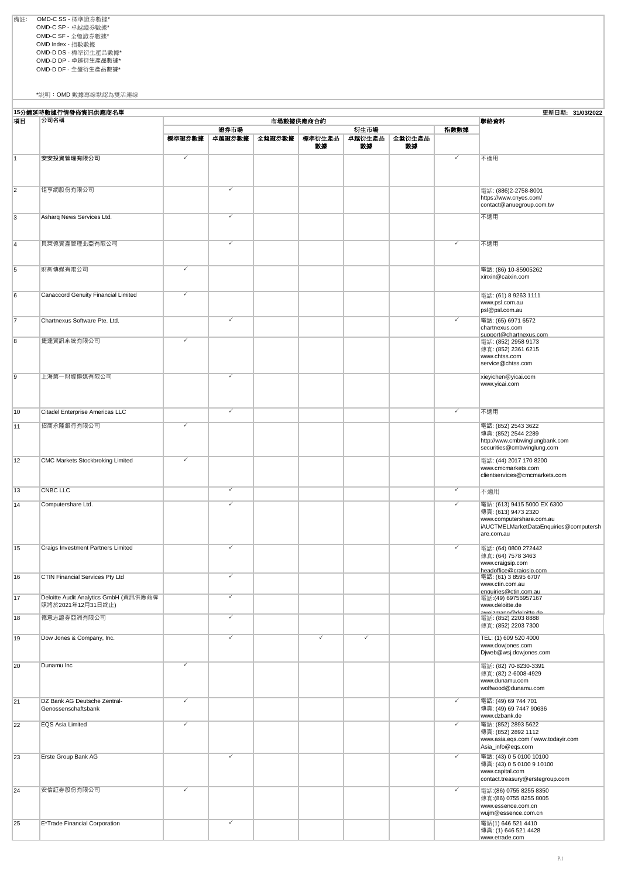備註: OMD-C SS - 標準證券數據\* OMD-C SP - 卓越證券數據\* OMD-C SF - 全盤證券數據\* OMD Index - 指數數據 OMD-D DS - 標準衍生產品數據\* OMD-D DP - 卓越衍生產品數據\* OMD-D DF - 全盤衍生產品數據\*

\*說明:OMD 數據專線默認為雙活連線

| 15分鐘延時數據行情發佈資訊供應商名單<br>更新日期: 31/03/2022 |                                                                           |              |                         |        |              |              |              |                         |                                                                                                                                        |
|-----------------------------------------|---------------------------------------------------------------------------|--------------|-------------------------|--------|--------------|--------------|--------------|-------------------------|----------------------------------------------------------------------------------------------------------------------------------------|
| 項目                                      | 公司名稱                                                                      |              |                         |        | 市場數據供應商合約    |              |              |                         | 聯絡資料                                                                                                                                   |
|                                         |                                                                           |              | 證券市場                    |        |              | 衍生市場         |              | 指數數據                    |                                                                                                                                        |
|                                         |                                                                           | 標準證券數據       | 卓越證券數據                  | 全盤證券數據 | 標準衍生產品<br>數據 | 卓越衍生產品<br>数據 | 全盤衍生產品<br>数據 |                         |                                                                                                                                        |
| $\overline{1}$                          | 安安投資管理有限公司                                                                | ✓            |                         |        |              |              |              | ✓                       | 不適用                                                                                                                                    |
|                                         |                                                                           |              |                         |        |              |              |              |                         |                                                                                                                                        |
| $\overline{2}$                          | 钜亨網股份有限公司                                                                 |              | ✓                       |        |              |              |              |                         | 電話: (886)2-2758-8001<br>https://www.cnyes.com/<br>contact@anuegroup.com.tw                                                             |
| 3                                       | Asharq News Services Ltd.                                                 |              | ✓                       |        |              |              |              |                         | 不適用                                                                                                                                    |
| $\overline{4}$                          | 貝萊德資產管理北亞有限公司                                                             |              | $\checkmark$            |        |              |              |              | ✓                       | 不適用                                                                                                                                    |
| 5                                       | 財新傳媒有限公司                                                                  | ✓            |                         |        |              |              |              |                         | 電話: (86) 10-85905262<br>xinxin@caixin.com                                                                                              |
| 6                                       | Canaccord Genuity Financial Limited                                       | ✓            |                         |        |              |              |              |                         | 電話: (61) 8 9263 1111<br>www.psl.com.au<br>psl@psl.com.au                                                                               |
| 7                                       | Chartnexus Software Pte. Ltd.                                             |              | $\checkmark$            |        |              |              |              | ✓                       | 電話: (65) 6971 6572<br>chartnexus.com<br>support@chartnexus.com                                                                         |
| 8                                       | 捷達資訊系統有限公司                                                                |              |                         |        |              |              |              |                         | 電話: (852) 2958 9173<br>傳真: (852) 2361 6215<br>www.chtss.com<br>service@chtss.com                                                       |
| $\overline{9}$                          | 上海第一財經傳媒有限公司                                                              |              | ✓                       |        |              |              |              |                         | xieyichen@yicai.com<br>www.yicai.com                                                                                                   |
| 10                                      | Citadel Enterprise Americas LLC                                           |              | ✓                       |        |              |              |              | $\overline{\checkmark}$ | 不適用                                                                                                                                    |
| 11                                      | 招商永隆銀行有限公司                                                                | $\checkmark$ |                         |        |              |              |              |                         | 電話: (852) 2543 3622<br>傳真: (852) 2544 2289<br>http://www.cmbwinglungbank.com<br>securities@cmbwinglung.com                             |
| 12                                      | CMC Markets Stockbroking Limited                                          | $\checkmark$ |                         |        |              |              |              |                         | 電話: (44) 2017 170 8200<br>www.cmcmarkets.com<br>clientservices@cmcmarkets.com                                                          |
| 13                                      | <b>CNBC LLC</b>                                                           |              | $\overline{\checkmark}$ |        |              |              |              | $\checkmark$            | 不適用                                                                                                                                    |
| 14                                      | Computershare Ltd.                                                        |              | ✓                       |        |              |              |              | ✓                       | 電話: (613) 9415 5000 EX 6300<br>傳真: (613) 9473 2320<br>www.computershare.com.au<br>iAUCTMELMarketDataEnquiries@computersh<br>are.com.au |
| 15                                      | Craigs Investment Partners Limited                                        |              | ✓                       |        |              |              |              | ✓                       | 電話: (64) 0800 272442<br>傳真: (64) 7578 3463<br>www.craigsip.com<br>headoffice@craiasip.com                                              |
| 16                                      | <b>CTIN Financial Services Pty Ltd</b>                                    |              |                         |        |              |              |              |                         | 電詁: (61) 3 8595 6707<br>www.ctin.com.au<br>enquiries@ctin.com.au                                                                       |
| 17                                      | Deloitte Audit Analytics GmbH (資訊供應商牌<br>照將於2021年12月31日終止)<br>德意志證券亞洲有限公司 |              | ✓<br>✓                  |        |              |              |              |                         | 電話:(49) 69756957167<br>www.deloitte.de<br>awaizmann@daloitta da                                                                        |
| 18                                      | Dow Jones & Company, Inc.                                                 |              | $\overline{\checkmark}$ |        | ✓            | ✓            |              |                         | 電話: (852) 2203 8888<br>傅真: (852) 2203 7300<br>TEL: (1) 609 520 4000                                                                    |
| 19                                      |                                                                           |              |                         |        |              |              |              |                         | www.dowjones.com<br>Djweb@wsj.dowjones.com                                                                                             |
| 20                                      | Dunamu Inc                                                                | ✓            |                         |        |              |              |              |                         | 電話: (82) 70-8230-3391<br>傳真: (82) 2-6008-4929<br>www.dunamu.com<br>wolfwood@dunamu.com                                                 |
| 21                                      | DZ Bank AG Deutsche Zentral-<br>Genossenschaftsbank                       | $\checkmark$ |                         |        |              |              |              | $\checkmark$            | 電話: (49) 69 744 701<br>傳真: (49) 69 7447 90636<br>www.dzbank.de                                                                         |
| 22                                      | EQS Asia Limited                                                          | $\checkmark$ |                         |        |              |              |              | ✓                       | 電話: (852) 2893 5622<br>傳真: (852) 2892 1112<br>www.asia.eqs.com / www.todayir.com<br>Asia_info@eqs.com                                  |
| 23                                      | Erste Group Bank AG                                                       |              | ✓                       |        |              |              |              | ✓                       | 電話: (43) 05 0100 10100<br>傳真: (43) 05 0100 9 10100<br>www.capital.com<br>contact.treasury@erstegroup.com                               |
| 24                                      | 安信証券股份有限公司                                                                | $\checkmark$ |                         |        |              |              |              | ✓                       | 電話:(86) 0755 8255 8350<br>傅真:(86) 0755 8255 8005<br>www.essence.com.cn<br>wujm@essence.com.cn                                          |
| 25                                      | E*Trade Financial Corporation                                             |              | ✓                       |        |              |              |              |                         | 電話(1) 646 521 4410<br>傳真: (1) 646 521 4428<br>www.etrade.com                                                                           |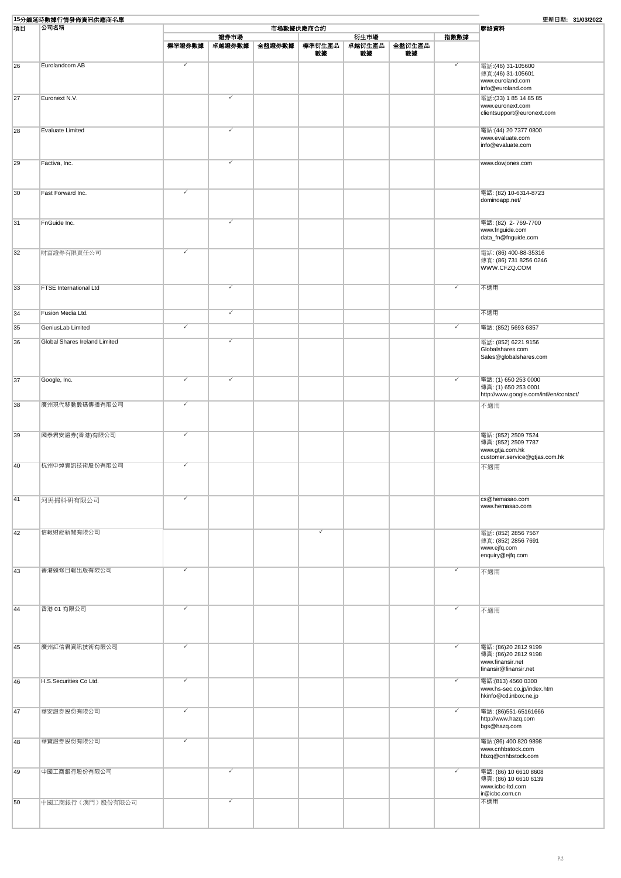|    | 15分鐘延時數據行情發佈資訊供應商名單           |                         |                         |        |              |              |              |                         | 更新日期: 31/03/2022                                                                       |
|----|-------------------------------|-------------------------|-------------------------|--------|--------------|--------------|--------------|-------------------------|----------------------------------------------------------------------------------------|
| 項目 | 公司名稱                          |                         |                         |        | 市場數據供應商合約    |              |              |                         | 聯絡資料                                                                                   |
|    |                               |                         | 證券市場                    |        |              | 衍生市場         |              | 指數數據                    |                                                                                        |
|    |                               | 標準證券數據                  | 卓越證券數據                  | 全盤證券數據 | 標準衍生產品<br>数據 | 卓越衍生產品<br>数據 | 全盤衍生產品<br>数據 |                         |                                                                                        |
|    |                               |                         |                         |        |              |              |              |                         |                                                                                        |
| 26 | Eurolandcom AB                | $\overline{\checkmark}$ |                         |        |              |              |              | ✓                       | 電話: (46) 31-105600<br>傳真: (46) 31-105601<br>www.euroland.com<br>info@euroland.com      |
| 27 | Euronext N.V.                 |                         | ✓                       |        |              |              |              |                         | 電話: (33) 1 85 14 85 85                                                                 |
|    |                               |                         |                         |        |              |              |              |                         | www.euronext.com<br>clientsupport@euronext.com                                         |
| 28 | Evaluate Limited              |                         | ✓                       |        |              |              |              |                         | 電話: (44) 20 7377 0800                                                                  |
|    |                               |                         |                         |        |              |              |              |                         | www.evaluate.com<br>info@evaluate.com                                                  |
| 29 | Factiva, Inc.                 |                         | $\checkmark$            |        |              |              |              |                         | www.dowjones.com                                                                       |
| 30 | Fast Forward Inc.             | ✓                       |                         |        |              |              |              |                         | 電話: (82) 10-6314-8723                                                                  |
|    |                               |                         |                         |        |              |              |              |                         | dominoapp.net/                                                                         |
| 31 | FnGuide Inc.                  |                         | ✓                       |        |              |              |              |                         | 電話: (82) 2-769-7700<br>www.fnguide.com                                                 |
|    |                               |                         |                         |        |              |              |              |                         | data_fn@fnguide.com                                                                    |
| 32 | 財富證券有限責任公司                    | ✓                       |                         |        |              |              |              |                         | 電話: (86) 400-88-35316<br>傳真: (86) 731 8256 0246<br>WWW.CFZQ.COM                        |
| 33 | <b>FTSE</b> International Ltd |                         | ✓                       |        |              |              |              | $\overline{\checkmark}$ | 不適用                                                                                    |
|    |                               |                         |                         |        |              |              |              |                         |                                                                                        |
| 34 | Fusion Media Ltd.             |                         | $\overline{\checkmark}$ |        |              |              |              |                         | 不適用                                                                                    |
| 35 | GeniusLab Limited             | ✓                       |                         |        |              |              |              | $\overline{\checkmark}$ | 電話: (852) 5693 6357                                                                    |
| 36 | Global Shares Ireland Limited |                         | ✓                       |        |              |              |              |                         | 電話: (852) 6221 9156                                                                    |
|    |                               |                         |                         |        |              |              |              |                         | Globalshares.com<br>Sales@globalshares.com                                             |
| 37 | Google, Inc.                  | ✓                       | ✓                       |        |              |              |              | $\overline{\checkmark}$ | 電話: (1) 650 253 0000<br>傳真: (1) 650 253 0001<br>http://www.google.com/intl/en/contact/ |
| 38 | 廣州現代移動數碼傳播有限公司                | ✓                       |                         |        |              |              |              |                         | 不適用                                                                                    |
| 39 | 國泰君安證券(香港)有限公司                | $\overline{\checkmark}$ |                         |        |              |              |              |                         | 電話: (852) 2509 7524                                                                    |
|    |                               |                         |                         |        |              |              |              |                         | 傳真: (852) 2509 7787<br>www.gtja.com.hk<br>customer.service@gtjas.com.hk                |
| 40 | 杭州中焯資訊技術股份有限公司                |                         |                         |        |              |              |              |                         | 不適用                                                                                    |
|    |                               |                         |                         |        |              |              |              |                         |                                                                                        |
| 41 | 河馬掃科研有限公司                     | $\checkmark$            |                         |        |              |              |              |                         | cs@hemasao.com<br>www.hemasao.com                                                      |
| 42 | 信報財經新聞有限公司                    |                         |                         |        |              |              |              |                         | 電話: (852) 2856 7567                                                                    |
|    |                               |                         |                         |        |              |              |              |                         | 傳真: (852) 2856 7691<br>www.ejfq.com<br>enquiry@ejfq.com                                |
| 43 | 香港頭條日報出版有限公司                  | ✓                       |                         |        |              |              |              | ✓                       | 不適用                                                                                    |
|    |                               |                         |                         |        |              |              |              |                         |                                                                                        |
| 44 | 香港 01 有限公司                    | $\checkmark$            |                         |        |              |              |              | ✓                       | 不適用                                                                                    |
|    |                               |                         |                         |        |              |              |              |                         |                                                                                        |
| 45 | 廣州紅信君資訊技術有限公司                 | $\checkmark$            |                         |        |              |              |              | ✓                       | 電話: (86)20 2812 9199                                                                   |
|    |                               |                         |                         |        |              |              |              |                         | 傳真: (86)20 2812 9198<br>www.finansir.net<br>finansir@finansir.net                      |
| 46 | H.S.Securities Co Ltd.        | ✓                       |                         |        |              |              |              | $\overline{\checkmark}$ | 電話: (813) 4560 0300                                                                    |
|    |                               |                         |                         |        |              |              |              |                         | www.hs-sec.co.jp/index.htm<br>hkinfo@cd.inbox.ne.jp                                    |
| 47 | 華安證券股份有限公司                    | ✓                       |                         |        |              |              |              | ✓                       | 電話: (86)551-65161666<br>http://www.hazq.com<br>bgs@hazq.com                            |
| 48 | 華寶證券股份有限公司                    | $\checkmark$            |                         |        |              |              |              |                         | 電話: (86) 400 820 9898<br>www.cnhbstock.com<br>hbzq@cnhbstock.com                       |
|    | 中國工商銀行股份有限公司                  |                         | ✓                       |        |              |              |              | ✓                       |                                                                                        |
| 49 |                               |                         |                         |        |              |              |              |                         | 電話: (86) 10 6610 8608<br>傳真: (86) 10 6610 6139<br>www.icbc-ltd.com<br>ir@icbc.com.cn   |
| 50 | 中國工商銀行 (澳門) 股份有限公司            |                         | ✓                       |        |              |              |              |                         | 不適用                                                                                    |
|    |                               |                         |                         |        |              |              |              |                         |                                                                                        |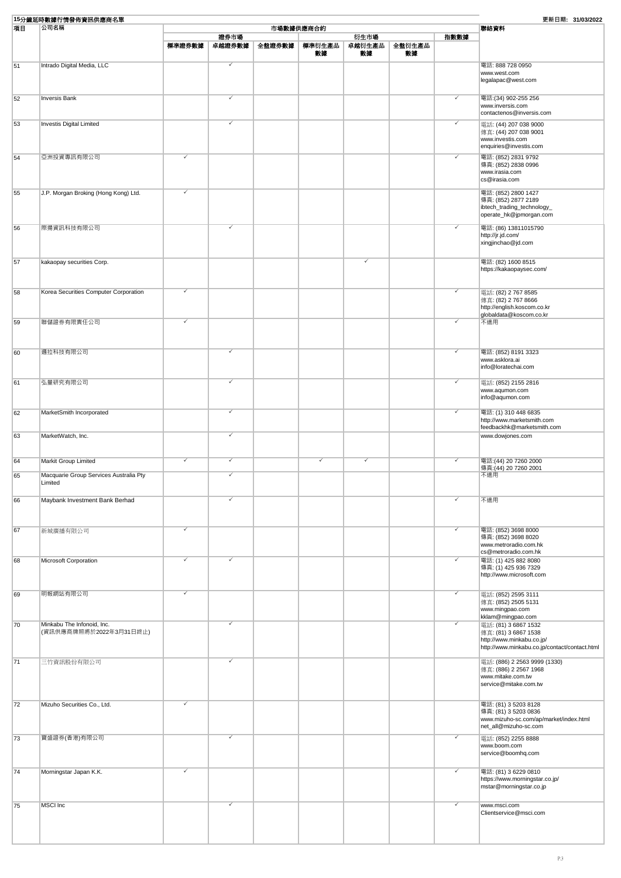| 15分鐘延時數據行情發佈資訊供應商名單<br>更新日期: 31/03/2022 |                                        |              |                         |        |              |              |              |                         |                                                                 |
|-----------------------------------------|----------------------------------------|--------------|-------------------------|--------|--------------|--------------|--------------|-------------------------|-----------------------------------------------------------------|
| 項目<br>公司名稱<br>市場數據供應商合約                 |                                        |              |                         |        |              |              |              |                         | 聯絡資料                                                            |
|                                         |                                        |              | 證券市場                    |        |              | 衍生市場         |              | 指數數據                    |                                                                 |
|                                         |                                        | 標準證券數據       | 卓越證券數據                  | 全盤證券數據 | 標準衍生產品<br>數據 | 卓越衍生產品<br>数據 | 全盤衍生產品<br>数據 |                         |                                                                 |
|                                         |                                        |              |                         |        |              |              |              |                         |                                                                 |
| 51                                      | Intrado Digital Media, LLC             |              | ✓                       |        |              |              |              |                         | 電話: 888 728 0950<br>www.west.com                                |
|                                         |                                        |              |                         |        |              |              |              |                         | legalapac@west.com                                              |
| 52                                      | <b>Inversis Bank</b>                   |              | ✓                       |        |              |              |              | $\checkmark$            | 電話:(34) 902-255 256                                             |
|                                         |                                        |              |                         |        |              |              |              |                         | www.inversis.com<br>contactenos@inversis.com                    |
| 53                                      | <b>Investis Digital Limited</b>        |              | ✓                       |        |              |              |              | $\overline{\checkmark}$ | 電話: (44) 207 038 9000                                           |
|                                         |                                        |              |                         |        |              |              |              |                         | 傳真: (44) 207 038 9001                                           |
|                                         |                                        |              |                         |        |              |              |              |                         | www.investis.com                                                |
|                                         |                                        |              |                         |        |              |              |              |                         | enquiries@investis.com                                          |
| 54                                      | 亞洲投資專訊有限公司                             | $\checkmark$ |                         |        |              |              |              | $\overline{\checkmark}$ | 電話: (852) 2831 9792                                             |
|                                         |                                        |              |                         |        |              |              |              |                         | 傳真: (852) 2838 0996<br>www.irasia.com                           |
|                                         |                                        |              |                         |        |              |              |              |                         | cs@irasia.com                                                   |
| 55                                      |                                        |              |                         |        |              |              |              |                         | 電話: (852) 2800 1427                                             |
|                                         | J.P. Morgan Broking (Hong Kong) Ltd.   |              |                         |        |              |              |              |                         | 傳真: (852) 2877 2189                                             |
|                                         |                                        |              |                         |        |              |              |              |                         | ibtech_trading_technology_                                      |
|                                         |                                        |              |                         |        |              |              |              |                         | operate_hk@jpmorgan.com                                         |
| 56                                      | 際揚資訊科技有限公司                             |              | ✓                       |        |              |              |              | ✓                       | 電話: (86) 13811015790                                            |
|                                         |                                        |              |                         |        |              |              |              |                         | http://jr.jd.com/                                               |
|                                         |                                        |              |                         |        |              |              |              |                         | xingjinchao@jd.com                                              |
|                                         |                                        |              |                         |        |              |              |              |                         |                                                                 |
| 57                                      | kakaopay securities Corp.              |              |                         |        |              |              |              |                         | 電話: (82) 1600 8515                                              |
|                                         |                                        |              |                         |        |              |              |              |                         | https://kakaopaysec.com/                                        |
|                                         |                                        |              |                         |        |              |              |              |                         |                                                                 |
| 58                                      | Korea Securities Computer Corporation  | $\checkmark$ |                         |        |              |              |              | $\overline{\checkmark}$ | 電話: (82) 2 767 8585                                             |
|                                         |                                        |              |                         |        |              |              |              |                         | 傳真: (82) 2 767 8666                                             |
|                                         |                                        |              |                         |        |              |              |              |                         | http://english.koscom.co.kr<br>globaldata@koscom.co.kr          |
| 59                                      | 聯儲證券有限責任公司                             | $\checkmark$ |                         |        |              |              |              | ✓                       | 不適用                                                             |
|                                         |                                        |              |                         |        |              |              |              |                         |                                                                 |
|                                         |                                        |              |                         |        |              |              |              |                         |                                                                 |
| 60                                      | 邏拉科技有限公司                               |              | ✓                       |        |              |              |              | $\overline{\checkmark}$ | 電話: (852) 8191 3323                                             |
|                                         |                                        |              |                         |        |              |              |              |                         | www.asklora.ai                                                  |
|                                         |                                        |              |                         |        |              |              |              |                         | info@loratechai.com                                             |
|                                         |                                        |              |                         |        |              |              |              |                         |                                                                 |
| 61                                      | 弘量研究有限公司                               |              | ✓                       |        |              |              |              | $\checkmark$            | 電話: (852) 2155 2816<br>www.aqumon.com                           |
|                                         |                                        |              |                         |        |              |              |              |                         | info@aqumon.com                                                 |
|                                         |                                        |              |                         |        |              |              |              |                         |                                                                 |
| 62                                      | MarketSmith Incorporated               |              | $\overline{\checkmark}$ |        |              |              |              | $\overline{\checkmark}$ | 電話: (1) 310 448 6835<br>http://www.marketsmith.com              |
|                                         |                                        |              |                         |        |              |              |              |                         | feedbackhk@marketsmith.com                                      |
| 63                                      | MarketWatch, Inc.                      |              | ✓                       |        |              |              |              |                         | www.dowjones.com                                                |
|                                         |                                        |              |                         |        |              |              |              |                         |                                                                 |
|                                         |                                        |              |                         |        |              |              |              |                         |                                                                 |
| 64                                      | Markit Group Limited                   | ✓            | $\checkmark$            |        | ✓            | $\checkmark$ |              | $\overline{\checkmark}$ | 電話: (44) 20 7260 2000<br>傳真:(44) 20 7260 2001                   |
| 65                                      | Macquarie Group Services Australia Pty |              | ✓                       |        |              |              |              |                         | 不適用                                                             |
|                                         | Limited                                |              |                         |        |              |              |              |                         |                                                                 |
|                                         |                                        |              |                         |        |              |              |              |                         |                                                                 |
| 66                                      | Maybank Investment Bank Berhad         |              | ✓                       |        |              |              |              | ✓                       | 不適用                                                             |
|                                         |                                        |              |                         |        |              |              |              |                         |                                                                 |
|                                         |                                        |              |                         |        |              |              |              |                         |                                                                 |
| 67                                      | 新城廣播有限公司                               | ✓            |                         |        |              |              |              | $\checkmark$            | 電話: (852) 3698 8000                                             |
|                                         |                                        |              |                         |        |              |              |              |                         | 傳真: (852) 3698 8020<br>www.metroradio.com.hk                    |
|                                         |                                        |              |                         |        |              |              |              |                         | cs@metroradio.com.hk                                            |
| 68                                      | Microsoft Corporation                  |              | ✓                       |        |              |              |              | $\checkmark$            | 電話: (1) 425 882 8080                                            |
|                                         |                                        |              |                         |        |              |              |              |                         | 傳真: (1) 425 936 7329                                            |
|                                         |                                        |              |                         |        |              |              |              |                         | http://www.microsoft.com                                        |
|                                         |                                        | $\checkmark$ |                         |        |              |              |              | $\overline{\checkmark}$ |                                                                 |
| 69                                      | 明報網站有限公司                               |              |                         |        |              |              |              |                         | 電話: (852) 2595 3111<br>傅真: (852) 2505 5131                      |
|                                         |                                        |              |                         |        |              |              |              |                         | www.mingpao.com                                                 |
|                                         |                                        |              |                         |        |              |              |              |                         | kklam@mingpao.com                                               |
| 70                                      | Minkabu The Infonoid, Inc.             |              | ✓                       |        |              |              |              | $\overline{\checkmark}$ | 電話: (81) 3 6867 1532                                            |
|                                         | (資訊供應商牌照將於2022年3月31日終止)                |              |                         |        |              |              |              |                         | 傳真: (81) 3 6867 1538<br>http://www.minkabu.co.jp/               |
|                                         |                                        |              |                         |        |              |              |              |                         | http://www.minkabu.co.jp/contact/contact.html                   |
|                                         |                                        |              | ✓                       |        |              |              |              |                         |                                                                 |
| 71                                      | 三竹資訊股份有限公司                             |              |                         |        |              |              |              |                         | 電話: (886) 2 2563 9999 (1330)<br>傳真: (886) 2 2567 1968           |
|                                         |                                        |              |                         |        |              |              |              |                         | www.mitake.com.tw                                               |
|                                         |                                        |              |                         |        |              |              |              |                         | service@mitake.com.tw                                           |
|                                         |                                        |              |                         |        |              |              |              |                         |                                                                 |
| 72                                      | Mizuho Securities Co., Ltd.            | $\checkmark$ |                         |        |              |              |              |                         | 電話: (81) 3 5203 8128                                            |
|                                         |                                        |              |                         |        |              |              |              |                         | 傳真: (81) 3 5203 0836                                            |
|                                         |                                        |              |                         |        |              |              |              |                         | www.mizuho-sc.com/ap/market/index.html<br>net_all@mizuho-sc.com |
|                                         |                                        |              | ✓                       |        |              |              |              | ✓                       |                                                                 |
| 73                                      | 寶盛證券(香港)有限公司                           |              |                         |        |              |              |              |                         | 電話: (852) 2255 8888<br>www.boom.com                             |
|                                         |                                        |              |                         |        |              |              |              |                         | service@boomhq.com                                              |
|                                         |                                        |              |                         |        |              |              |              |                         |                                                                 |
| 74                                      | Morningstar Japan K.K.                 | $\checkmark$ |                         |        |              |              |              | ✓                       | 電話: (81) 3 6229 0810                                            |
|                                         |                                        |              |                         |        |              |              |              |                         | https://www.morningstar.co.jp/                                  |
|                                         |                                        |              |                         |        |              |              |              |                         | mstar@morningstar.co.jp                                         |
|                                         |                                        |              | ✓                       |        |              |              |              | ✓                       |                                                                 |
| 75                                      | MSCI Inc                               |              |                         |        |              |              |              |                         | www.msci.com<br>Clientservice@msci.com                          |
|                                         |                                        |              |                         |        |              |              |              |                         |                                                                 |
|                                         |                                        |              |                         |        |              |              |              |                         |                                                                 |
|                                         |                                        |              |                         |        |              |              |              |                         |                                                                 |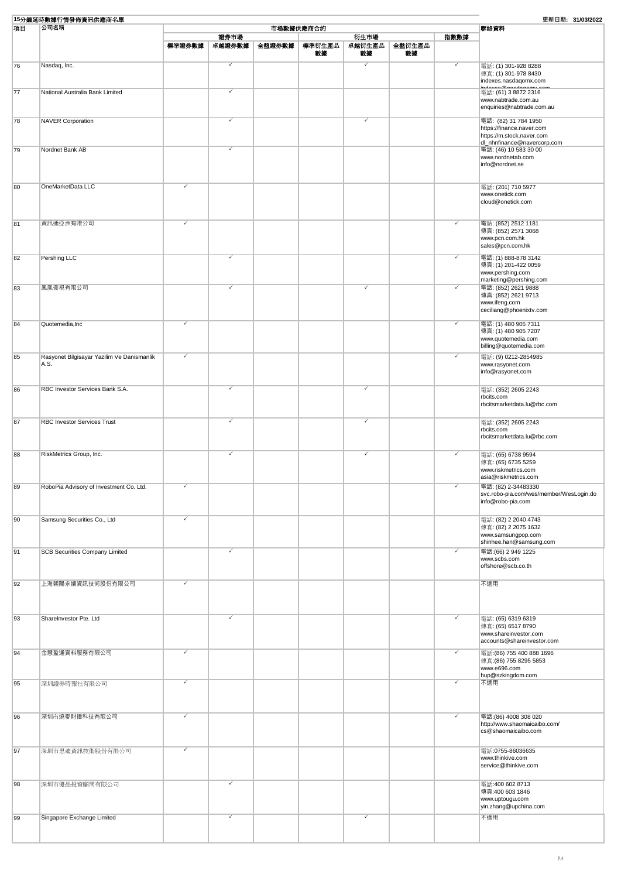| 15分鐘延時數據行情發佈資訊供應商名單 |                                                    |              |                |        |              |                      |              | 更新日期: 31/03/2022        |                                                                                                  |
|---------------------|----------------------------------------------------|--------------|----------------|--------|--------------|----------------------|--------------|-------------------------|--------------------------------------------------------------------------------------------------|
| 項目                  | 公司名稱                                               |              | 聯絡資料           |        |              |                      |              |                         |                                                                                                  |
|                     |                                                    | 標準證券數據       | 證券市場<br>卓越證券數據 | 全盤證券數據 | 標準衍生產品<br>數據 | 衍生市場<br>卓越衍生產品<br>数據 | 全盤衍生產品<br>數據 | 指數數據                    |                                                                                                  |
| 76                  | Nasdaq, Inc.                                       |              | ✓              |        |              | ✓                    |              | ✓                       | 電話: (1) 301-928 8288<br>傳真: (1) 301-978 8430<br>indexes.nasdagomx.com                            |
| 77                  | National Australia Bank Limited                    |              | ✓              |        |              |                      |              |                         | indouan@noodogomu.co<br>電話: (61) 3 8872 2316<br>www.nabtrade.com.au<br>enquiries@nabtrade.com.au |
| 78                  | <b>NAVER Corporation</b>                           |              | ✓              |        |              | ✓                    |              |                         | 電話: (82) 31 784 1950<br>https://finance.naver.com<br>https://m.stock.naver.com                   |
| 79                  | Nordnet Bank AB                                    |              | ✓              |        |              |                      |              |                         | dl_nhnfinance@navercorp.com<br>電話: (46) 10 583 30 00<br>www.nordnetab.com<br>info@nordnet.se     |
| 80                  | OneMarketData LLC                                  | ✓            |                |        |              |                      |              |                         | 電話: (201) 710 5977<br>www.onetick.com<br>cloud@onetick.com                                       |
| 81                  | 資訊通亞洲有限公司                                          | $\checkmark$ |                |        |              |                      |              | $\overline{\checkmark}$ | 電話: (852) 2512 1181<br>傳真: (852) 2571 3068<br>www.pcn.com.hk                                     |
| 82                  | Pershing LLC                                       |              | ✓              |        |              |                      |              | $\overline{\checkmark}$ | sales@pcn.com.hk<br>電話: (1) 888-878 3142<br>傳真: (1) 201-422 0059                                 |
| 83                  | 鳳凰衞視有限公司                                           |              | ✓              |        |              |                      |              | $\overline{\checkmark}$ | www.pershing.com<br>marketing@pershing.com<br>電話: (852) 2621 9888<br>傳真: (852) 2621 9713         |
| 84                  | Quotemedia, Inc                                    | $\checkmark$ |                |        |              |                      |              | $\overline{\checkmark}$ | www.ifeng.com<br>ceciliang@phoenixtv.com<br>電話: (1) 480 905 7311                                 |
|                     |                                                    | $\checkmark$ |                |        |              |                      |              | $\overline{\checkmark}$ | 傳真: (1) 480 905 7207<br>www.quotemedia.com<br>billing@quotemedia.com                             |
| 85                  | Rasyonet Bilgisayar Yazilim Ve Danismanlik<br>A.S. |              |                |        |              |                      |              |                         | 電話: (9) 0212-2854985<br>www.rasyonet.com<br>info@rasyonet.com                                    |
| 86                  | RBC Investor Services Bank S.A.                    |              | $\checkmark$   |        |              | $\checkmark$         |              |                         | 電話: (352) 2605 2243<br>rbcits.com<br>rbcitsmarketdata.lu@rbc.com                                 |
| 87                  | <b>RBC Investor Services Trust</b>                 |              | ✓              |        |              |                      |              |                         | 電話: (352) 2605 2243<br>rbcits.com<br>rbcitsmarketdata.lu@rbc.com                                 |
| 88                  | RiskMetrics Group, Inc.                            |              | ✓              |        |              |                      |              |                         | 電話: (65) 6738 9594<br>傳真: (65) 6735 5259<br>www.riskmetrics.com<br>asia@riskmetrics.com          |
| 89                  | RoboPia Advisory of Investment Co. Ltd.            |              |                |        |              |                      |              | ✓                       | 電話: (82) 2-34483330<br>svc.robo-pia.com/wes/member/WesLogin.do<br>info@robo-pia.com              |
| 90                  | Samsung Securities Co., Ltd                        | $\checkmark$ |                |        |              |                      |              |                         | 電話: (82) 2 2040 4743<br>傳真: (82) 2 2075 1632<br>www.samsungpop.com<br>shinhee.han@samsung.com    |
| 91                  | <b>SCB Securities Company Limited</b>              |              | ✓              |        |              |                      |              | ✓                       | 電話:(66) 2 949 1225<br>www.scbs.com<br>offshore@scb.co.th                                         |
| 92                  | 上海朝陽永續資訊技術股份有限公司                                   |              |                |        |              |                      |              |                         | 不適用                                                                                              |
| 93                  | ShareInvestor Pte. Ltd                             |              |                |        |              |                      |              | $\checkmark$            | 電話: (65) 6319 6319<br>傳真: (65) 6517 8790<br>www.shareinvestor.com<br>accounts@shareinvestor.com  |
| 94                  | 金慧盈通資料服務有限公司                                       | $\checkmark$ |                |        |              |                      |              | $\overline{\checkmark}$ | 電話: (86) 755 400 888 1696<br>傳真: (86) 755 8295 5853<br>www.e696.com<br>hup@szkingdom.com         |
| 95                  | 深圳證券時報社有限公司                                        | $\checkmark$ |                |        |              |                      |              |                         | 不適用                                                                                              |
| 96                  | 深圳市燒麥財播科技有限公司                                      |              |                |        |              |                      |              | ✓                       | 電話: (86) 4008 308 020<br>http://www.shaomaicaibo.com/<br>cs@shaomaicaibo.com                     |
| 97                  | 深圳市思迪資訊技術股份有限公司                                    | $\checkmark$ |                |        |              |                      |              |                         | 電話:0755-86036635<br>www.thinkive.com<br>service@thinkive.com                                     |
| 98                  | 深圳市優品投資顧問有限公司                                      |              | ✓              |        |              |                      |              |                         | 電話:400 602 8713<br>傳真:400 603 1846<br>www.uptougu.com<br>yin.zhang@upchina.com                   |
| 99                  | Singapore Exchange Limited                         |              | ✓              |        |              | $\checkmark$         |              |                         | 不適用                                                                                              |